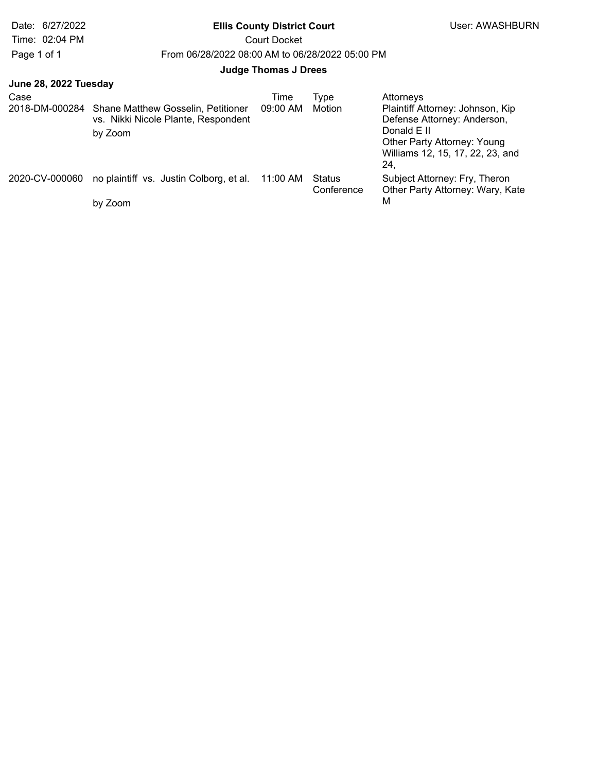# Date: 6/27/2022 **Ellis County District Court Ellis County District Court** User: AWASHBURN

Time: 02:04 PM Court Docket

Page 1 of 1 From 06/28/2022 08:00 AM to 06/28/2022 05:00 PM

## **Judge Thomas J Drees**

|  |  |  | June 28, 2022 Tuesday |
|--|--|--|-----------------------|
|--|--|--|-----------------------|

| Case           | 2018-DM-000284 Shane Matthew Gosselin, Petitioner<br>vs. Nikki Nicole Plante, Respondent<br>by Zoom | Time<br>09:00 AM | Tvpe<br>Motion       | Attorneys<br>Plaintiff Attorney: Johnson, Kip<br>Defense Attorney: Anderson,<br>Donald E II<br>Other Party Attorney: Young<br>Williams 12, 15, 17, 22, 23, and<br>24. |
|----------------|-----------------------------------------------------------------------------------------------------|------------------|----------------------|-----------------------------------------------------------------------------------------------------------------------------------------------------------------------|
| 2020-CV-000060 | no plaintiff vs. Justin Colborg, et al.                                                             | 11:00 AM         | Status<br>Conference | Subject Attorney: Fry, Theron<br>Other Party Attorney: Wary, Kate                                                                                                     |
|                | by Zoom                                                                                             |                  |                      | М                                                                                                                                                                     |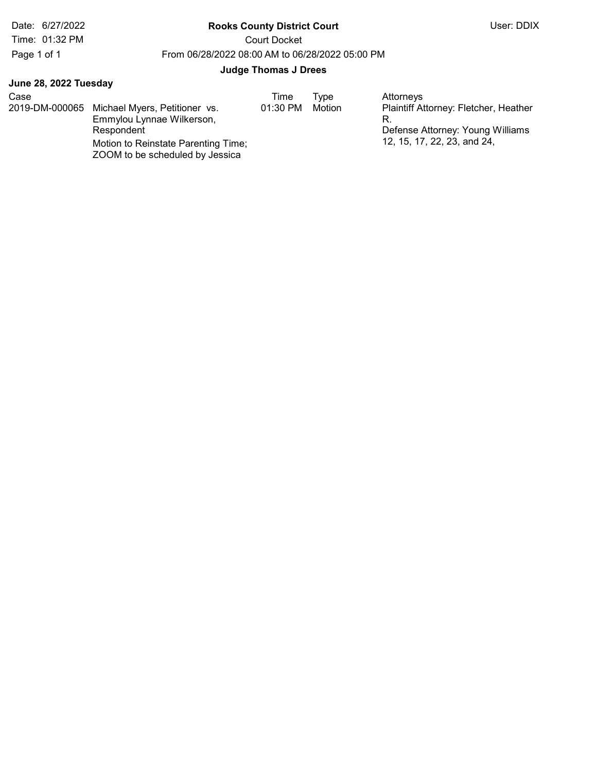# Date: 6/27/2022 **Rooks County District Court** Court User: DDIX

Time: 01:32 PM Court Docket

Page 1 of 1 From 06/28/2022 08:00 AM to 06/28/2022 05:00 PM

#### Judge Thomas J Drees

| Case<br>2019-DM-000065 | Michael Myers, Petitioner vs.<br>Emmylou Lynnae Wilkerson,<br>Respondent<br>Motion to Reinstate Parenting Time; | Time<br>01:30 PM | Type<br>Motion | Attorneys<br>Plaintiff Attorney: Fletcher, Heather<br>Defense Attorney: Young Williams<br>12, 15, 17, 22, 23, and 24, |
|------------------------|-----------------------------------------------------------------------------------------------------------------|------------------|----------------|-----------------------------------------------------------------------------------------------------------------------|
|                        | ZOOM to be scheduled by Jessica                                                                                 |                  |                |                                                                                                                       |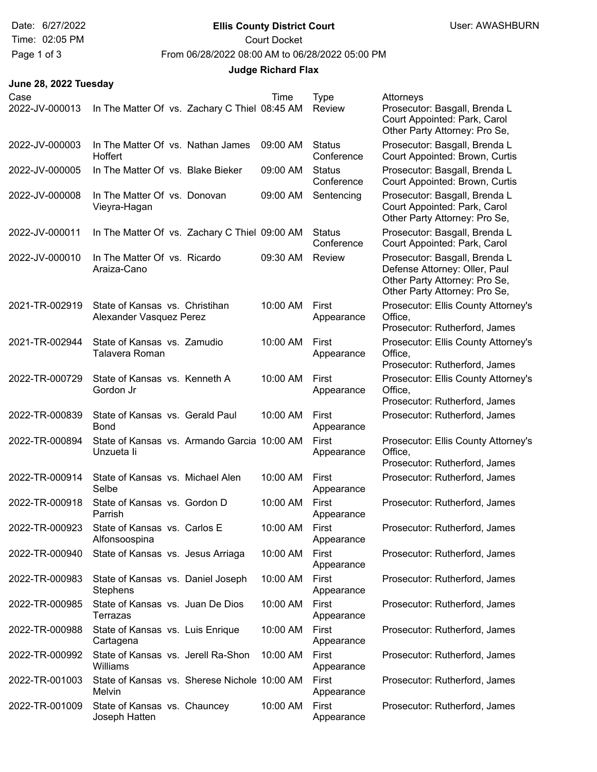# Date: 6/27/2022 **Ellis County District Court Ellis County District Court** User: AWASHBURN

Time: 02:05 PM Court Docket

Page 1 of 3 From 06/28/2022 08:00 AM to 06/28/2022 05:00 PM

## **Judge Richard Flax**

| Case           |                                                           |  | Time     | <b>Type</b>                 | Attorneys                                                                                                                        |
|----------------|-----------------------------------------------------------|--|----------|-----------------------------|----------------------------------------------------------------------------------------------------------------------------------|
| 2022-JV-000013 | In The Matter Of vs. Zachary C Thiel 08:45 AM             |  |          | Review                      | Prosecutor: Basgall, Brenda L<br>Court Appointed: Park, Carol<br>Other Party Attorney: Pro Se,                                   |
| 2022-JV-000003 | In The Matter Of vs. Nathan James<br>Hoffert              |  | 09:00 AM | Status<br>Conference        | Prosecutor: Basgall, Brenda L<br>Court Appointed: Brown, Curtis                                                                  |
| 2022-JV-000005 | In The Matter Of vs. Blake Bieker                         |  | 09:00 AM | <b>Status</b><br>Conference | Prosecutor: Basgall, Brenda L<br>Court Appointed: Brown, Curtis                                                                  |
| 2022-JV-000008 | In The Matter Of vs. Donovan<br>Vieyra-Hagan              |  | 09:00 AM | Sentencing                  | Prosecutor: Basgall, Brenda L<br>Court Appointed: Park, Carol<br>Other Party Attorney: Pro Se,                                   |
| 2022-JV-000011 | In The Matter Of vs. Zachary C Thiel 09:00 AM             |  |          | <b>Status</b><br>Conference | Prosecutor: Basgall, Brenda L<br>Court Appointed: Park, Carol                                                                    |
| 2022-JV-000010 | In The Matter Of vs. Ricardo<br>Araiza-Cano               |  | 09:30 AM | Review                      | Prosecutor: Basgall, Brenda L<br>Defense Attorney: Oller, Paul<br>Other Party Attorney: Pro Se,<br>Other Party Attorney: Pro Se, |
| 2021-TR-002919 | State of Kansas vs. Christihan<br>Alexander Vasquez Perez |  | 10:00 AM | First<br>Appearance         | Prosecutor: Ellis County Attorney's<br>Office,<br>Prosecutor: Rutherford, James                                                  |
| 2021-TR-002944 | State of Kansas vs. Zamudio<br>Talavera Roman             |  | 10:00 AM | First<br>Appearance         | Prosecutor: Ellis County Attorney's<br>Office,<br>Prosecutor: Rutherford, James                                                  |
| 2022-TR-000729 | State of Kansas vs. Kenneth A<br>Gordon Jr                |  | 10:00 AM | First<br>Appearance         | Prosecutor: Ellis County Attorney's<br>Office,<br>Prosecutor: Rutherford, James                                                  |
| 2022-TR-000839 | State of Kansas vs. Gerald Paul<br><b>Bond</b>            |  | 10:00 AM | First<br>Appearance         | Prosecutor: Rutherford, James                                                                                                    |
| 2022-TR-000894 | State of Kansas vs. Armando Garcia 10:00 AM<br>Unzueta li |  |          | First<br>Appearance         | Prosecutor: Ellis County Attorney's<br>Office,<br>Prosecutor: Rutherford, James                                                  |
| 2022-TR-000914 | State of Kansas vs. Michael Alen<br>Selbe                 |  | 10:00 AM | First<br>Appearance         | Prosecutor: Rutherford, James                                                                                                    |
| 2022-TR-000918 | State of Kansas vs. Gordon D<br>Parrish                   |  | 10:00 AM | First<br>Appearance         | Prosecutor: Rutherford, James                                                                                                    |
| 2022-TR-000923 | State of Kansas vs. Carlos E<br>Alfonsoospina             |  | 10:00 AM | First<br>Appearance         | Prosecutor: Rutherford, James                                                                                                    |
| 2022-TR-000940 | State of Kansas vs. Jesus Arriaga                         |  | 10:00 AM | First<br>Appearance         | Prosecutor: Rutherford, James                                                                                                    |
| 2022-TR-000983 | State of Kansas vs. Daniel Joseph<br><b>Stephens</b>      |  | 10:00 AM | First<br>Appearance         | Prosecutor: Rutherford, James                                                                                                    |
| 2022-TR-000985 | State of Kansas vs. Juan De Dios<br>Terrazas              |  | 10:00 AM | First<br>Appearance         | Prosecutor: Rutherford, James                                                                                                    |
| 2022-TR-000988 | State of Kansas vs. Luis Enrique<br>Cartagena             |  | 10:00 AM | First<br>Appearance         | Prosecutor: Rutherford, James                                                                                                    |
| 2022-TR-000992 | State of Kansas vs. Jerell Ra-Shon<br>Williams            |  | 10:00 AM | First<br>Appearance         | Prosecutor: Rutherford, James                                                                                                    |
| 2022-TR-001003 | State of Kansas vs. Sherese Nichole 10:00 AM<br>Melvin    |  |          | First<br>Appearance         | Prosecutor: Rutherford, James                                                                                                    |
| 2022-TR-001009 | State of Kansas vs. Chauncey<br>Joseph Hatten             |  | 10:00 AM | First<br>Appearance         | Prosecutor: Rutherford, James                                                                                                    |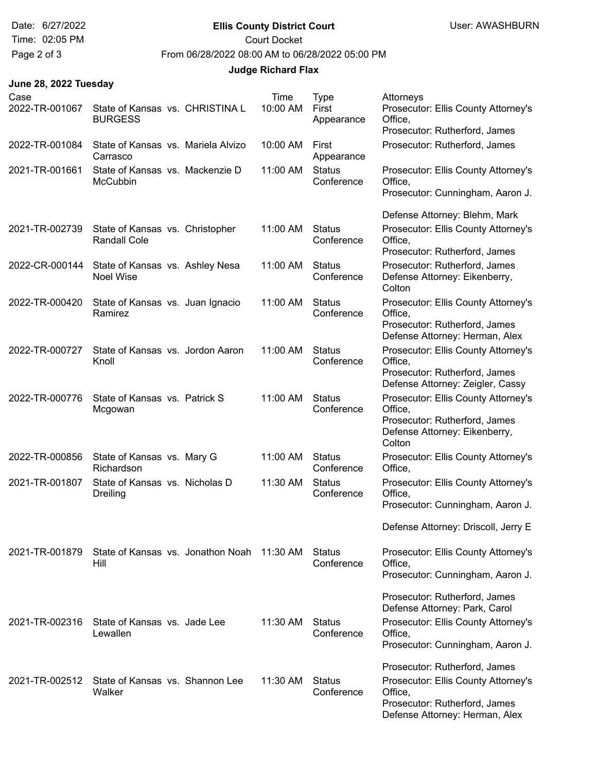# Date: 6/27/2022 **Ellis County District Court Ellis County District Court** User: AWASHBURN

Time: 02:05 PM Court Docket

Page 2 of 3 From 06/28/2022 08:00 AM to 06/28/2022 05:00 PM

## **Judge Richard Flax**

| Case<br>2022-TR-001067 | State of Kansas vs. CHRISTINA L<br><b>BURGESS</b>      |                                   | Time<br>10:00 AM | <b>Type</b><br>First<br>Appearance | Attorneys<br>Prosecutor: Ellis County Attorney's<br>Office,<br>Prosecutor: Rutherford, James                               |
|------------------------|--------------------------------------------------------|-----------------------------------|------------------|------------------------------------|----------------------------------------------------------------------------------------------------------------------------|
| 2022-TR-001084         | State of Kansas vs. Mariela Alvizo<br>Carrasco         |                                   | 10:00 AM         | First<br>Appearance                | Prosecutor: Rutherford, James                                                                                              |
| 2021-TR-001661         | State of Kansas vs. Mackenzie D<br><b>McCubbin</b>     |                                   | 11:00 AM         | <b>Status</b><br>Conference        | Prosecutor: Ellis County Attorney's<br>Office,<br>Prosecutor: Cunningham, Aaron J.                                         |
|                        |                                                        |                                   |                  |                                    | Defense Attorney: Blehm, Mark                                                                                              |
| 2021-TR-002739         | State of Kansas vs. Christopher<br><b>Randall Cole</b> |                                   | 11:00 AM         | <b>Status</b><br>Conference        | Prosecutor: Ellis County Attorney's<br>Office,<br>Prosecutor: Rutherford, James                                            |
| 2022-CR-000144         | State of Kansas vs. Ashley Nesa<br>Noel Wise           |                                   | 11:00 AM         | <b>Status</b><br>Conference        | Prosecutor: Rutherford, James<br>Defense Attorney: Eikenberry,<br>Colton                                                   |
| 2022-TR-000420         | State of Kansas vs. Juan Ignacio<br><b>Ramirez</b>     |                                   | 11:00 AM         | <b>Status</b><br>Conference        | Prosecutor: Ellis County Attorney's<br>Office,<br>Prosecutor: Rutherford, James<br>Defense Attorney: Herman, Alex          |
| 2022-TR-000727         | State of Kansas vs. Jordon Aaron<br>Knoll              |                                   | 11:00 AM         | <b>Status</b><br>Conference        | Prosecutor: Ellis County Attorney's<br>Office,<br>Prosecutor: Rutherford, James<br>Defense Attorney: Zeigler, Cassy        |
| 2022-TR-000776         | State of Kansas vs. Patrick S<br>Mcgowan               |                                   | 11:00 AM         | <b>Status</b><br>Conference        | Prosecutor: Ellis County Attorney's<br>Office,<br>Prosecutor: Rutherford, James<br>Defense Attorney: Eikenberry,<br>Colton |
| 2022-TR-000856         | State of Kansas vs. Mary G<br>Richardson               |                                   | 11:00 AM         | <b>Status</b><br>Conference        | Prosecutor: Ellis County Attorney's<br>Office,                                                                             |
| 2021-TR-001807         | State of Kansas vs. Nicholas D<br>Dreiling             |                                   | 11:30 AM         | <b>Status</b><br>Conference        | Prosecutor: Ellis County Attorney's<br>Office,<br>Prosecutor: Cunningham, Aaron J.                                         |
|                        |                                                        |                                   |                  |                                    | Defense Attorney: Driscoll, Jerry E                                                                                        |
| 2021-TR-001879         | Hill                                                   | State of Kansas vs. Jonathon Noah | 11:30 AM         | <b>Status</b><br>Conference        | Prosecutor: Ellis County Attorney's<br>Office,<br>Prosecutor: Cunningham, Aaron J.                                         |
|                        |                                                        |                                   |                  |                                    | Prosecutor: Rutherford, James<br>Defense Attorney: Park, Carol                                                             |
| 2021-TR-002316         | State of Kansas vs. Jade Lee<br>Lewallen               |                                   | 11:30 AM         | Status<br>Conference               | Prosecutor: Ellis County Attorney's<br>Office,<br>Prosecutor: Cunningham, Aaron J.                                         |
|                        |                                                        |                                   |                  |                                    | Prosecutor: Rutherford, James                                                                                              |
| 2021-TR-002512         | State of Kansas vs. Shannon Lee<br>Walker              |                                   | 11:30 AM         | Status<br>Conference               | Prosecutor: Ellis County Attorney's<br>Office,<br>Prosecutor: Rutherford, James<br>Defense Attorney: Herman, Alex          |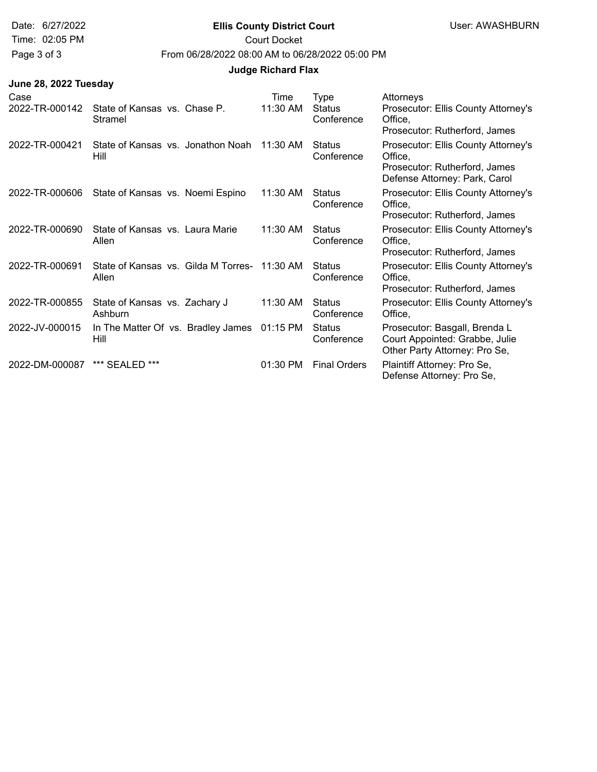#### Date: 6/27/2022 **Ellis County District Court** User: AWASHBURN

Time: 02:05 PM Court Docket

Page 3 of 3 From 06/28/2022 08:00 AM to 06/28/2022 05:00 PM

#### **Judge Richard Flax**

| Case<br>2022-TR-000142 | State of Kansas vs. Chase P.<br>Stramel      | Time<br>11:30 AM | Type<br><b>Status</b><br>Conference | Attorneys<br>Prosecutor: Ellis County Attorney's<br>Office,<br>Prosecutor: Rutherford, James                     |
|------------------------|----------------------------------------------|------------------|-------------------------------------|------------------------------------------------------------------------------------------------------------------|
| 2022-TR-000421         | State of Kansas vs. Jonathon Noah<br>Hill    | $11:30$ AM       | Status<br>Conference                | Prosecutor: Ellis County Attorney's<br>Office,<br>Prosecutor: Rutherford, James<br>Defense Attorney: Park, Carol |
| 2022-TR-000606         | State of Kansas vs. Noemi Espino             | 11:30 AM         | Status<br>Conference                | Prosecutor: Ellis County Attorney's<br>Office.<br>Prosecutor: Rutherford, James                                  |
| 2022-TR-000690         | State of Kansas vs. Laura Marie<br>Allen     | 11:30 AM         | <b>Status</b><br>Conference         | Prosecutor: Ellis County Attorney's<br>Office,<br>Prosecutor: Rutherford, James                                  |
| 2022-TR-000691         | State of Kansas vs. Gilda M Torres-<br>Allen | 11:30 AM         | <b>Status</b><br>Conference         | Prosecutor: Ellis County Attorney's<br>Office,<br>Prosecutor: Rutherford, James                                  |
| 2022-TR-000855         | State of Kansas vs. Zachary J<br>Ashburn     | 11:30 AM         | <b>Status</b><br>Conference         | Prosecutor: Ellis County Attorney's<br>Office,                                                                   |
| 2022-JV-000015         | In The Matter Of vs. Bradley James<br>Hill   | 01:15 PM         | <b>Status</b><br>Conference         | Prosecutor: Basgall, Brenda L<br>Court Appointed: Grabbe, Julie<br>Other Party Attorney: Pro Se,                 |
| 2022-DM-000087         | *** SEALED ***                               | $01:30$ PM       | <b>Final Orders</b>                 | Plaintiff Attorney: Pro Se,<br>Defense Attorney: Pro Se,                                                         |